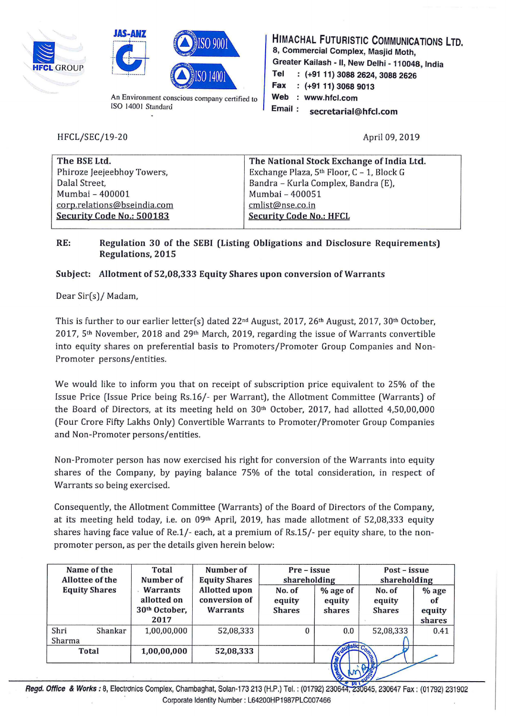





An Environment conscious company certified to ISO 14001 Standard

HFCL/SEC/19-20

HIMACHAL FUTURISTIC COMMUNICATIONS LTD. 8, Commercial Complex, Masjid Moth, Greater Kailash - II, New Delhi - 110048, India Tel : (+91 11) 3088 2624, 3088 2626 Fax {+91 11) 3068 9013 Web : www.hfcl.com Email : secretarial@hfcl.com

April 09,2019

| The BSE Ltd.                | The National Stock Exchange of India Ltd. |
|-----------------------------|-------------------------------------------|
| Phiroze Jeejeebhoy Towers,  | Exchange Plaza, 5th Floor, C - 1, Block G |
| Dalal Street,               | Bandra - Kurla Complex, Bandra (E),       |
| Mumbai - 400001             | Mumbai - 400051                           |
| corp.relations@bseindia.com | cmlist@nse.co.in                          |
| Security Code No.: 500183   | <b>Security Code No.: HFCL</b>            |
|                             |                                           |

## RE: Regulation 30 of the SEBI (Listing Obligations and Disclosure Requirements) Regulations, 2015

## Subject: Allotment of 52,08,333 Equity Shares upon conversion of Warrants

Dear Sir(s)/ Madam,

This is further to our earlier letter(s) dated 22<sup>nd</sup> August, 2017, 26<sup>th</sup> August, 2017, 30<sup>th</sup> October, 2017, 5th November, 2018 and 29th March, 2019, regarding the issue of Warrants convertible into equity shares on preferential basis to Promoters/Promoter Group Companies and Non-Promoter persons/entities.

We would like to inform you that on receipt of subscription price equivalent to 25% of the Issue Price (Issue Price being Rs.16/- per Warrant), the Allotment Committee (Warrants) of the Board of Directors, at its meeting held on  $30<sup>th</sup>$  October, 2017, had allotted 4,50,00,000 (Four Crore Fifty Lakhs Only) Convertible Warrants to Promoter/Promoter Group Companies and Non-Promoter persons/entities.

Non-Promoter person has now exercised his right for conversion of the Warrants into equity shares of the Company, by paying balance 75% of the total consideration, in respect of Warrants so being exercised.

Consequently, the Allotment Committee (Warrants) of the Board of Directors of the Company, at its meeting held today, i.e. on  $09<sup>th</sup>$  April, 2019, has made allotment of 52,08,333 equity shares having face value of Re.1/- each, at a premium of Rs.lS/- per equity share, to the nonpromoter person, as per the details given herein below:

| Name of the<br>Allottee of the | Number of<br>Total<br>Number of<br><b>Equity Shares</b>             |                                                   | Pre – issue<br>shareholding       |                              | Post – issue<br>shareholding      |                                   |
|--------------------------------|---------------------------------------------------------------------|---------------------------------------------------|-----------------------------------|------------------------------|-----------------------------------|-----------------------------------|
| <b>Equity Shares</b>           | <b>Warrants</b><br>allotted on<br>30 <sup>th</sup> October,<br>2017 | <b>Allotted upon</b><br>conversion of<br>Warrants | No. of<br>equity<br><b>Shares</b> | % age of<br>equity<br>shares | No. of<br>equity<br><b>Shares</b> | $%$ age<br>ot<br>equity<br>shares |
| Shri<br>Shankar<br>Sharma      | 1,00,00,000                                                         | 52,08,333                                         | $\Omega$                          | 0.0                          | 52,08,333                         | 0.41                              |
| <b>Total</b>                   | 1,00,00,000                                                         | 52,08,333                                         |                                   |                              |                                   |                                   |
|                                |                                                                     |                                                   |                                   |                              |                                   |                                   |